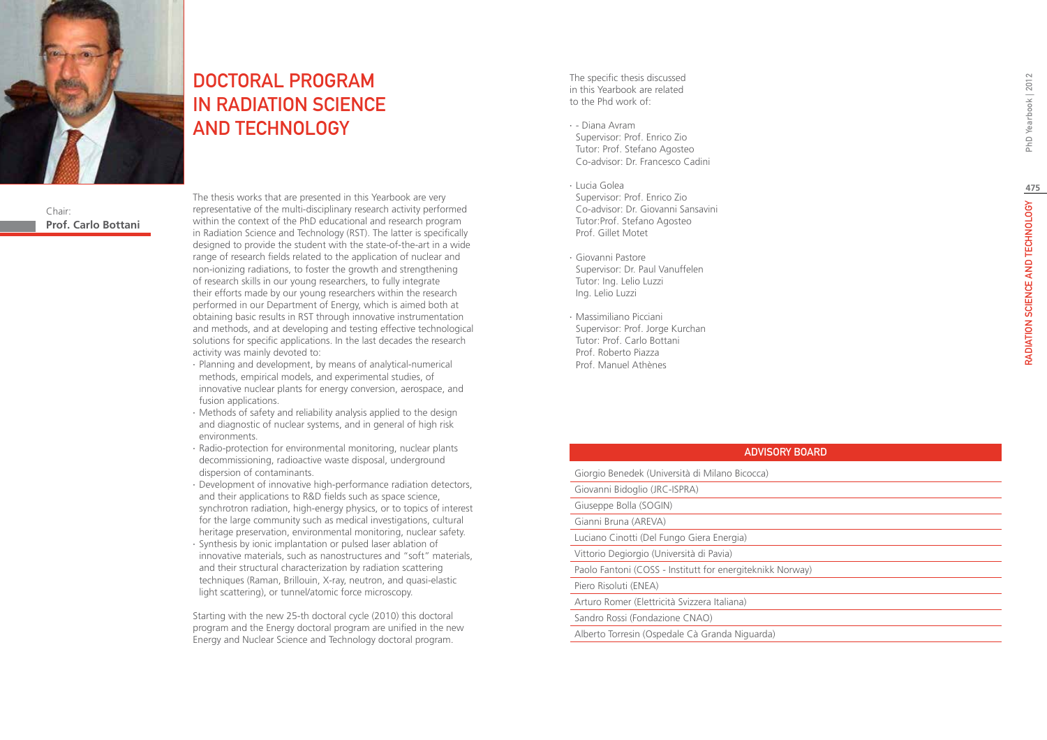



# DOCTORAL PROGRAM IN RADIATION SCIENCE AND TECHNOLOGY

Chair: **Prof. Carlo Bottani** The thesis works that are presented in this Yearbook are very representative of the multi-disciplinary research activity performed within the context of the PhD educational and research program in Radiation Science and Technology (RST). The latter is specifically designed to provide the student with the state-of-the-art in a wide range of research fields related to the application of nuclear and non-ionizing radiations, to foster the growth and strengthening of research skills in our young researchers, to fully integrate their efforts made by our young researchers within the research performed in our Department of Energy, which is aimed both at obtaining basic results in RST through innovative instrumentation and methods, and at developing and testing effective technological solutions for specific applications. In the last decades the research activity was mainly devoted to:

- ∙ Planning and development, by means of analytical-numerical methods, empirical models, and experimental studies, of innovative nuclear plants for energy conversion, aerospace, and fusion applications.
- ∙ Methods of safety and reliability analysis applied to the design and diagnostic of nuclear systems, and in general of high risk environments.
- ∙ Radio-protection for environmental monitoring, nuclear plants decommissioning, radioactive waste disposal, underground dispersion of contaminants.
- ∙ Development of innovative high-performance radiation detectors, and their applications to R&D fields such as space science, synchrotron radiation, high-energy physics, or to topics of interest for the large community such as medical investigations, cultural heritage preservation, environmental monitoring, nuclear safety.
- ∙ Synthesis by ionic implantation or pulsed laser ablation of innovative materials, such as nanostructures and "soft" materials, and their structural characterization by radiation scattering techniques (Raman, Brillouin, X-ray, neutron, and quasi-elastic light scattering), or tunnel/atomic force microscopy.

Starting with the new 25-th doctoral cycle (2010) this doctoral program and the Energy doctoral program are unified in the new Energy and Nuclear Science and Technology doctoral program.

The specific thesis discussed in this Yearbook are related to the Phd work of:

- ∙ Diana Avram Supervisor: Prof. Enrico Zio Tutor: Prof. Stefano Agosteo Co-advisor: Dr. Francesco Cadini
- ∙ Lucia Golea Supervisor: Prof. Enrico Zio Co-advisor: Dr. Giovanni Sansavini Tutor:Prof. Stefano Agosteo Prof. Gillet Motet
- ∙ Giovanni Pastore Supervisor: Dr. Paul Vanuffelen Tutor: Ing. Lelio Luzzi Ing. Lelio Luzzi
- ∙ Massimiliano Picciani Supervisor: Prof. Jorge Kurchan Tutor: Prof. Carlo Bottani Prof. Roberto Piazza Prof. Manuel Athènes

| <b>ADVISORY BOARD</b>                                     |
|-----------------------------------------------------------|
| Giorgio Benedek (Università di Milano Bicocca)            |
| Giovanni Bidoglio (JRC-ISPRA)                             |
| Giuseppe Bolla (SOGIN)                                    |
| Gianni Bruna (AREVA)                                      |
| Luciano Cinotti (Del Fungo Giera Energia)                 |
| Vittorio Degiorgio (Università di Pavia)                  |
| Paolo Fantoni (COSS - Institutt for energiteknikk Norway) |
| Piero Risoluti (ENEA)                                     |
| Arturo Romer (Elettricità Svizzera Italiana)              |
| Sandro Rossi (Fondazione CNAO)                            |
| Alberto Torresin (Ospedale Cà Granda Niguarda)            |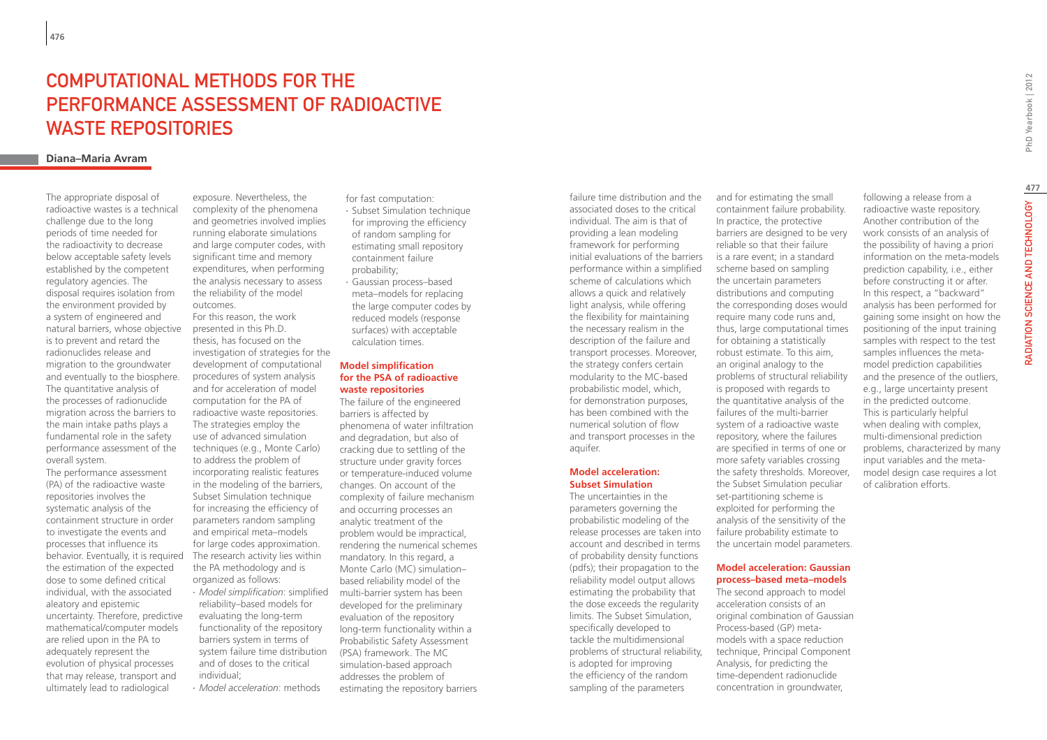## COMPUTATIONAL METHODS FOR THE PERFORMANCE ASSESSMENT OF RADIOACTIVE WASTE REPOSITORIES

### **Diana–Maria Avram**

The appropriate disposal of radioactive wastes is a technical challenge due to the long periods of time needed for the radioactivity to decrease below acceptable safety levels established by the competent regulatory agencies. The disposal requires isolation from the environment provided by a system of engineered and natural barriers, whose objective is to prevent and retard the radionuclides release and migration to the groundwater and eventually to the biosphere. The quantitative analysis of the processes of radionuclide migration across the barriers to the main intake paths plays a fundamental role in the safety performance assessment of the overall system.

The performance assessment (PA) of the radioactive waste repositories involves the systematic analysis of the containment structure in order to investigate the events and processes that influence its behavior. Eventually, it is required the estimation of the expected dose to some defined critical individual, with the associated aleatory and epistemic uncertainty. Therefore, predictive mathematical/computer models are relied upon in the PA to adequately represent the evolution of physical processes that may release, transport and ultimately lead to radiological

exposure. Nevertheless, the complexity of the phenomena and geometries involved implies running elaborate simulations and large computer codes, with significant time and memory expenditures, when performing the analysis necessary to assess the reliability of the model outcomes.

For this reason, the work presented in this Ph.D. thesis, has focused on the investigation of strategies for the development of computational procedures of system analysis and for acceleration of model computation for the PA of radioactive waste repositories. The strategies employ the use of advanced simulation techniques (e.g., Monte Carlo) to address the problem of incorporating realistic features in the modeling of the barriers, Subset Simulation technique for increasing the efficiency of parameters random sampling and empirical meta–models for large codes approximation. The research activity lies within the PA methodology and is organized as follows: ∙ *Model simplification*: simplified reliability–based models for evaluating the long-term functionality of the repository barriers system in terms of system failure time distribution and of doses to the critical individual; ∙ *Model acceleration*: methods

for fast computation:

- ∙ Subset Simulation technique for improving the efficiency of random sampling for estimating small repository containment failure probability;
- ∙ Gaussian process–based meta–models for replacing the large computer codes by reduced models (response surfaces) with acceptable calculation times.

#### **Model simplification for the PSA of radioactive waste repositories**

The failure of the engineered barriers is affected by phenomena of water infiltration and degradation, but also of cracking due to settling of the structure under gravity forces or temperature-induced volume changes. On account of the complexity of failure mechanism and occurring processes an analytic treatment of the problem would be impractical, rendering the numerical schemes mandatory. In this regard, a Monte Carlo (MC) simulation– based reliability model of the multi-barrier system has been developed for the preliminary evaluation of the repository long-term functionality within a Probabilistic Safety Assessment (PSA) framework. The MC simulation-based approach addresses the problem of estimating the repository barriers

failure time distribution and the associated doses to the critical individual. The aim is that of providing a lean modeling framework for performing initial evaluations of the barriers performance within a simplified scheme of calculations which allows a quick and relatively light analysis, while offering the flexibility for maintaining the necessary realism in the description of the failure and transport processes. Moreover, the strategy confers certain modularity to the MC-based probabilistic model, which, for demonstration purposes, has been combined with the numerical solution of flow and transport processes in the aquifer.

#### **Model acceleration: Subset Simulation**

The uncertainties in the parameters governing the probabilistic modeling of the release processes are taken into account and described in terms of probability density functions (pdfs); their propagation to the reliability model output allows estimating the probability that the dose exceeds the regularity limits. The Subset Simulation, specifically developed to tackle the multidimensional problems of structural reliability, is adopted for improving the efficiency of the random sampling of the parameters

and for estimating the small containment failure probability. In practice, the protective barriers are designed to be very reliable so that their failure is a rare event; in a standard scheme based on sampling the uncertain parameters distributions and computing the corresponding doses would require many code runs and, thus, large computational times for obtaining a statistically robust estimate. To this aim, an original analogy to the problems of structural reliability is proposed with regards to the quantitative analysis of the failures of the multi-barrier system of a radioactive waste repository, where the failures are specified in terms of one or more safety variables crossing the safety thresholds. Moreover, the Subset Simulation peculiar set-partitioning scheme is exploited for performing the analysis of the sensitivity of the failure probability estimate to the uncertain model parameters.

#### **Model acceleration: Gaussian process–based meta–models**

The second approach to model acceleration consists of an original combination of Gaussian Process-based (GP) metamodels with a space reduction technique, Principal Component Analysis, for predicting the time-dependent radionuclide concentration in groundwater,

radioactive waste repository. Another contribution of the work consists of an analysis of the possibility of having a priori information on the meta-models prediction capability, i.e., either before constructing it or after. In this respect, a "backward" analysis has been performed for gaining some insight on how the positioning of the input training samples with respect to the test samples influences the metamodel prediction capabilities and the presence of the outliers, e.g., large uncertainty present in the predicted outcome. This is particularly helpful when dealing with complex, multi-dimensional prediction problems, characterized by many input variables and the metamodel design case requires a lot of calibration efforts.

following a release from a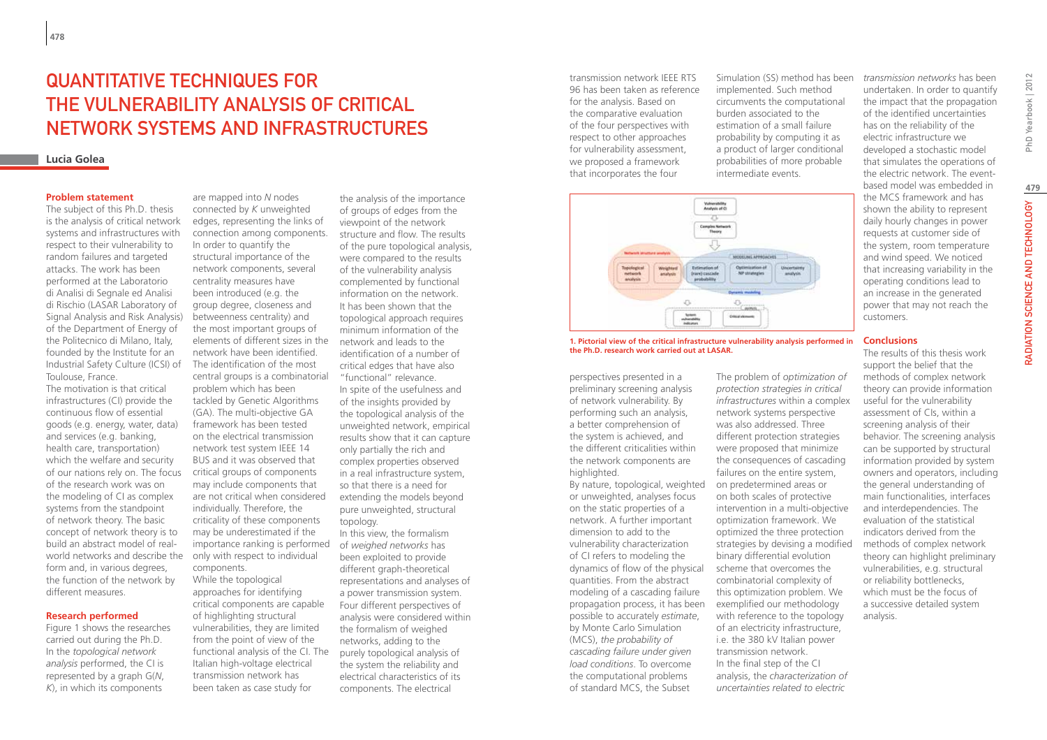## Quantitative techniques for the vulnerability analysis of critical network systems and infrastructures

### **Lucia Golea**

#### **Problem statement**

The subject of this Ph.D. thesis is the analysis of critical network systems and infrastructures with respect to their vulnerability to random failures and targeted attacks. The work has been performed at the Laboratorio di Analisi di Segnale ed Analisi di Rischio (LASAR Laboratory of Signal Analysis and Risk Analysis) of the Department of Energy of the Politecnico di Milano, Italy, founded by the Institute for an Industrial Safety Culture (ICSI) of Toulouse, France.

The motivation is that critical infrastructures (CI) provide the continuous flow of essential goods (e.g. energy, water, data) and services (e.g. banking, health care, transportation) which the welfare and security of our nations rely on. The focus of the research work was on the modeling of CI as complex systems from the standpoint of network theory. The basic concept of network theory is to build an abstract model of realworld networks and describe the form and, in various degrees, the function of the network by different measures.

#### **Research performed**

Figure 1 shows the researches carried out during the Ph.D. In the *topological network analysis* performed, the CI is represented by a graph G(*N*, *K*), in which its components

are mapped into *N* nodes connected by *K* unweighted edges, representing the links of connection among components. In order to quantify the structural importance of the network components, several centrality measures have been introduced (e.g. the group degree, closeness and betweenness centrality) and the most important groups of elements of different sizes in the network have been identified. The identification of the most central groups is a combinatorial problem which has been tackled by Genetic Algorithms (GA). The multi-objective GA framework has been tested on the electrical transmission network test system IEEE 14 BUS and it was observed that critical groups of components may include components that are not critical when considered individually. Therefore, the criticality of these components may be underestimated if the importance ranking is performed only with respect to individual components. While the topological approaches for identifying critical components are capable of highlighting structural

vulnerabilities, they are limited from the point of view of the functional analysis of the CI. The Italian high-voltage electrical transmission network has been taken as case study for

of the pure topological analysis, were compared to the results of the vulnerability analysis complemented by functional information on the network. It has been shown that the topological approach requires minimum information of the network and leads to the identification of a number of critical edges that have also "functional" relevance. In spite of the usefulness and of the insights provided by the topological analysis of the unweighted network, empirical results show that it can capture only partially the rich and complex properties observed in a real infrastructure system, so that there is a need for extending the models beyond pure unweighted, structural topology. In this view, the formalism of *weighed networks* has been exploited to provide different graph-theoretical representations and analyses of a power transmission system. Four different perspectives of analysis were considered within the formalism of weighed networks, adding to the purely topological analysis of the system the reliability and electrical characteristics of its components. The electrical

the analysis of the importance of groups of edges from the viewpoint of the network structure and flow. The results transmission network IEEE RTS 96 has been taken as reference for the analysis. Based on the comparative evaluation of the four perspectives with respect to other approaches for vulnerability assessment, we proposed a framework that incorporates the four



**1. Pictorial view of the critical infrastructure vulnerability analysis performed in the Ph.D. research work carried out at LASAR.**

perspectives presented in a preliminary screening analysis of network vulnerability. By performing such an analysis, a better comprehension of the system is achieved, and the different criticalities within the network components are highlighted.

By nature, topological, weighted or unweighted, analyses focus on the static properties of a network. A further important dimension to add to the vulnerability characterization of CI refers to modeling the dynamics of flow of the physical quantities. From the abstract modeling of a cascading failure propagation process, it has been possible to accurately *estimate*, by Monte Carlo Simulation (MCS), *the probability of cascading failure under given load conditions*. To overcome the computational problems of standard MCS, the Subset

Simulation (SS) method has been implemented. Such method circumvents the computational burden associated to the estimation of a small failure probability by computing it as a product of larger conditional probabilities of more probable intermediate events.

The problem of *optimization of protection strategies in critical infrastructures* within a complex network systems perspective was also addressed. Three different protection strategies were proposed that minimize the consequences of cascading failures on the entire system, on predetermined areas or on both scales of protective intervention in a multi-objective optimization framework. We optimized the three protection strategies by devising a modified binary differential evolution scheme that overcomes the combinatorial complexity of this optimization problem. We exemplified our methodology with reference to the topology of an electricity infrastructure, i.e. the 380 kV Italian power transmission network. In the final step of the CI analysis, the *characterization of uncertainties related to electric* 

*transmission networks* has been undertaken. In order to quantify the impact that the propagation of the identified uncertainties has on the reliability of the electric infrastructure we developed a stochastic model that simulates the operations of the electric network. The eventbased model was embedded in the MCS framework and has shown the ability to represent daily hourly changes in power requests at customer side of the system, room temperature and wind speed. We noticed that increasing variability in the operating conditions lead to an increase in the generated power that may not reach the customers.

#### **Conclusions**

The results of this thesis work support the belief that the methods of complex network theory can provide information useful for the vulnerability assessment of CIs, within a screening analysis of their behavior. The screening analysis can be supported by structural information provided by system owners and operators, including the general understanding of main functionalities, interfaces and interdependencies. The evaluation of the statistical indicators derived from the methods of complex network theory can highlight preliminary vulnerabilities, e.g. structural or reliability bottlenecks, which must be the focus of a successive detailed system analysis.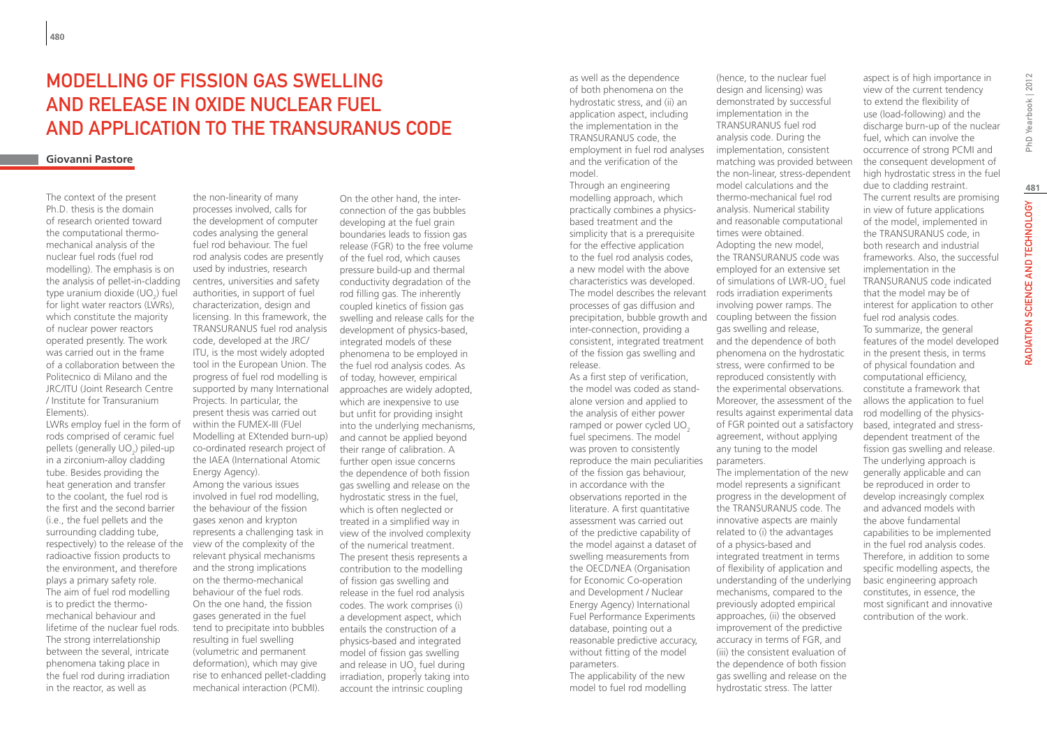## Modelling of Fission Gas Swelling and Release in Oxide Nuclear Fuel and Application to the TRANSURANUS Code

### **Giovanni Pastore**

The context of the present Ph.D. thesis is the domain of research oriented toward the computational thermomechanical analysis of the nuclear fuel rods (fuel rod modelling). The emphasis is on the analysis of pellet-in-cladding type uranium dioxide  $(UO_2)$  fuel for light water reactors (LWRs). which constitute the majority of nuclear power reactors operated presently. The work was carried out in the frame of a collaboration between the Politecnico di Milano and the JRC/ITU (Joint Research Centre / Institute for Transuranium Elements).

LWRs employ fuel in the form of rods comprised of ceramic fuel pellets (generally  $UO_2$ ) piled-up in a zirconium-alloy cladding tube. Besides providing the heat generation and transfer to the coolant, the fuel rod is the first and the second barrier (i.e., the fuel pellets and the surrounding cladding tube, respectively) to the release of the radioactive fission products to the environment, and therefore plays a primary safety role. The aim of fuel rod modelling is to predict the thermomechanical behaviour and lifetime of the nuclear fuel rods. The strong interrelationship between the several, intricate phenomena taking place in the fuel rod during irradiation in the reactor, as well as

the non-linearity of many processes involved, calls for the development of computer codes analysing the general fuel rod behaviour. The fuel rod analysis codes are presently used by industries, research centres, universities and safety authorities, in support of fuel characterization, design and licensing. In this framework, the TRANSURANUS fuel rod analysis code, developed at the JRC/ ITU, is the most widely adopted tool in the European Union. The progress of fuel rod modelling is supported by many International Projects. In particular, the present thesis was carried out within the FUMEX-III (FUel Modelling at EXtended burn-up) co-ordinated research project of the IAEA (International Atomic Energy Agency). Among the various issues involved in fuel rod modelling, the behaviour of the fission gases xenon and krypton represents a challenging task in view of the complexity of the relevant physical mechanisms and the strong implications on the thermo-mechanical behaviour of the fuel rods. On the one hand, the fission gases generated in the fuel tend to precipitate into bubbles resulting in fuel swelling (volumetric and permanent deformation), which may give rise to enhanced pellet-cladding mechanical interaction (PCMI).

On the other hand, the interconnection of the gas bubbles developing at the fuel grain boundaries leads to fission gas release (FGR) to the free volume of the fuel rod, which causes pressure build-up and thermal conductivity degradation of the rod filling gas. The inherently coupled kinetics of fission gas swelling and release calls for the development of physics-based, integrated models of these phenomena to be employed in the fuel rod analysis codes. As of today, however, empirical approaches are widely adopted, which are inexpensive to use but unfit for providing insight into the underlying mechanisms, and cannot be applied beyond their range of calibration. A further open issue concerns the dependence of both fission gas swelling and release on the hydrostatic stress in the fuel, which is often neglected or treated in a simplified way in view of the involved complexity of the numerical treatment. The present thesis represents a contribution to the modelling of fission gas swelling and release in the fuel rod analysis codes. The work comprises (i) a development aspect, which entails the construction of a physics-based and integrated model of fission gas swelling and release in UO<sub>2</sub> fuel during irradiation, properly taking into account the intrinsic coupling

as well as the dependence of both phenomena on the hydrostatic stress, and (ii) an application aspect, including the implementation in the TRANSURANUS code, the employment in fuel rod analyses and the verification of the model. Through an engineering modelling approach, which practically combines a physicsbased treatment and the simplicity that is a prerequisite for the effective application to the fuel rod analysis codes, a new model with the above characteristics was developed. The model describes the relevant processes of gas diffusion and precipitation, bubble growth and inter-connection, providing a consistent, integrated treatment of the fission gas swelling and release.

As a first step of verification, the model was coded as standalone version and applied to the analysis of either power ramped or power cycled UO<sub>2</sub> fuel specimens. The model was proven to consistently reproduce the main peculiarities of the fission gas behaviour, in accordance with the observations reported in the literature. A first quantitative assessment was carried out of the predictive capability of the model against a dataset of swelling measurements from the OECD/NEA (Organisation for Economic Co-operation and Development / Nuclear Energy Agency) International Fuel Performance Experiments database, pointing out a reasonable predictive accuracy, without fitting of the model parameters.

The applicability of the new model to fuel rod modelling

(hence, to the nuclear fuel design and licensing) was demonstrated by successful implementation in the TRANSURANUS fuel rod analysis code. During the implementation, consistent matching was provided between the non-linear, stress-dependent model calculations and the thermo-mechanical fuel rod analysis. Numerical stability and reasonable computational times were obtained. Adopting the new model, the TRANSURANUS code was employed for an extensive set of simulations of LWR-UO<sub>2</sub> fuel rods irradiation experiments involving power ramps. The coupling between the fission gas swelling and release, and the dependence of both phenomena on the hydrostatic stress, were confirmed to be reproduced consistently with the experimental observations. Moreover, the assessment of the results against experimental data of FGR pointed out a satisfactory agreement, without applying any tuning to the model parameters.

The implementation of the new model represents a significant progress in the development of the TRANSURANUS code. The innovative aspects are mainly related to (i) the advantages of a physics-based and integrated treatment in terms of flexibility of application and understanding of the underlying mechanisms, compared to the previously adopted empirical approaches, (ii) the observed improvement of the predictive accuracy in terms of FGR, and (iii) the consistent evaluation of the dependence of both fission gas swelling and release on the hydrostatic stress. The latter

aspect is of high importance in view of the current tendency to extend the flexibility of use (load-following) and the discharge burn-up of the nuclear fuel, which can involve the occurrence of strong PCMI and the consequent development of high hydrostatic stress in the fuel due to cladding restraint. The current results are promising in view of future applications of the model, implemented in the TRANSURANUS code, in both research and industrial frameworks. Also, the successful implementation in the TRANSURANUS code indicated that the model may be of interest for application to other fuel rod analysis codes. To summarize, the general features of the model developed in the present thesis, in terms of physical foundation and computational efficiency, constitute a framework that allows the application to fuel rod modelling of the physicsbased, integrated and stressdependent treatment of the fission gas swelling and release. The underlying approach is generally applicable and can be reproduced in order to develop increasingly complex and advanced models with the above fundamental capabilities to be implemented in the fuel rod analysis codes. Therefore, in addition to some specific modelling aspects, the basic engineering approach constitutes, in essence, the most significant and innovative contribution of the work.